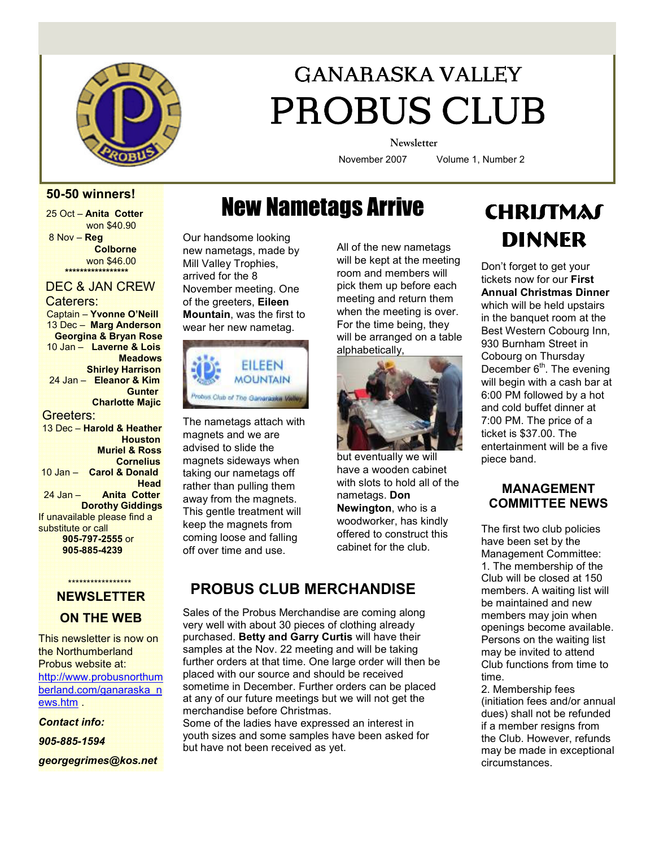

# GANARASKA VALLEY PROBUS CLUB

**Newsletter** 

November 2007 Volume 1, Number 2

### 50-50 winners!

25 Oct – Anita Cotter won \$40.90 8 Nov – Reg **Colborne**  won \$46.00 \*\*\*\*\*\*\*\*\*\*\*\*\*\*\*\*\*\*\*\*\*\*\*\*\*\*\*\*\*\*\*\*\*\*

### DEC & JAN CREW Caterers:

 Captain – Yvonne O'Neill 13 Dec – Marg Anderson Georgina & Bryan Rose 10 Jan – Laverne & Lois **Meadows**  Shirley Harrison 24 Jan – Eleanor & Kim **Gunter**  Charlotte Majic Greeters: 13 Dec – Harold & Heather **Houston**  Muriel & Ross **Cornelius**  10 Jan – Carol & Donald **Head** 

 24 Jan – Anita Cotter Dorothy Giddings If unavailable please find a substitute or call 905-797-2555 or 905-885-4239

#### \*\*\*\*\*\*\*\*\*\*\*\*\*\*\* NEWSLETTER

### ON THE WEB

This newsletter is now on the Northumberland Probus website at: http://www.probusnorthum berland.com/ganaraska\_n ews.htm .

Contact info:

905-885-1594

georgegrimes@kos.net

# New Nametags Arrive

Our handsome looking new nametags, made by Mill Valley Trophies, arrived for the 8 November meeting. One of the greeters, Eileen Mountain, was the first to wear her new nametag.



The nametags attach with magnets and we are advised to slide the magnets sideways when taking our nametags off rather than pulling them away from the magnets. This gentle treatment will keep the magnets from coming loose and falling off over time and use.

will be kept at the meeting room and members will pick them up before each meeting and return them when the meeting is over. For the time being, they will be arranged on a table alphabetically,



but eventually we will have a wooden cabinet with slots to hold all of the nametags. Don Newington, who is a woodworker, has kindly offered to construct this cabinet for the club.

### PROBUS CLUB MERCHANDISE

Sales of the Probus Merchandise are coming along very well with about 30 pieces of clothing already purchased. Betty and Garry Curtis will have their samples at the Nov. 22 meeting and will be taking further orders at that time. One large order will then be placed with our source and should be received sometime in December. Further orders can be placed at any of our future meetings but we will not get the merchandise before Christmas.

Some of the ladies have expressed an interest in youth sizes and some samples have been asked for but have not been received as yet.

## **CHRIJTMAS** All of the new nametags **DINNER**

Don't forget to get your tickets now for our First Annual Christmas Dinner which will be held upstairs in the banquet room at the Best Western Cobourg Inn, 930 Burnham Street in Cobourg on Thursday December  $6<sup>th</sup>$ . The evening will begin with a cash bar at 6:00 PM followed by a hot and cold buffet dinner at 7:00 PM. The price of a ticket is \$37.00. The entertainment will be a five piece band.

### MANAGEMENT COMMITTEE NEWS

The first two club policies have been set by the Management Committee: 1. The membership of the Club will be closed at 150 members. A waiting list will be maintained and new members may join when openings become available. Persons on the waiting list may be invited to attend Club functions from time to time.

2. Membership fees (initiation fees and/or annual dues) shall not be refunded if a member resigns from the Club. However, refunds may be made in exceptional circumstances.